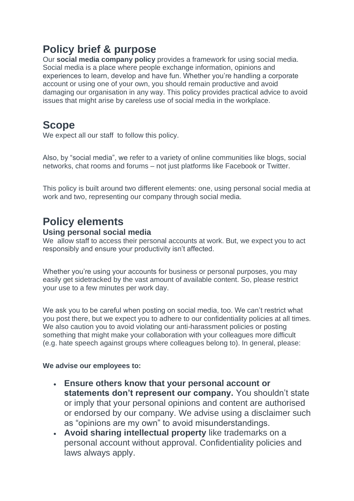# **Policy brief & purpose**

Our **social media company policy** provides a framework for using social media. Social media is a place where people exchange information, opinions and experiences to learn, develop and have fun. Whether you're handling a corporate account or using one of your own, you should remain productive and avoid damaging our organisation in any way. This policy provides practical advice to avoid issues that might arise by careless use of social media in the workplace.

### **Scope**

We expect all our staff to follow this policy.

Also, by "social media", we refer to a variety of online communities like blogs, social networks, chat rooms and forums – not just platforms like Facebook or Twitter.

This policy is built around two different elements: one, using personal social media at work and two, representing our company through social media.

# **Policy elements**

#### **Using personal social media**

We allow staff to access their personal accounts at work. But, we expect you to act responsibly and ensure your productivity isn't affected.

Whether you're using your accounts for business or personal purposes, you may easily get sidetracked by the vast amount of available content. So, please restrict your use to a few minutes per work day.

We ask you to be careful when posting on social media, too. We can't restrict what you post there, but we expect you to adhere to our confidentiality policies at all times. We also caution you to avoid violating our anti-harassment policies or posting something that might make your collaboration with your colleagues more difficult (e.g. hate speech against groups where colleagues belong to). In general, please:

#### **We advise our employees to:**

- **Ensure others know that your personal account or statements don't represent our company.** You shouldn't state or imply that your personal opinions and content are authorised or endorsed by our company. We advise using a disclaimer such as "opinions are my own" to avoid misunderstandings.
- **Avoid sharing intellectual property** like trademarks on a personal account without approval. Confidentiality policies and laws always apply.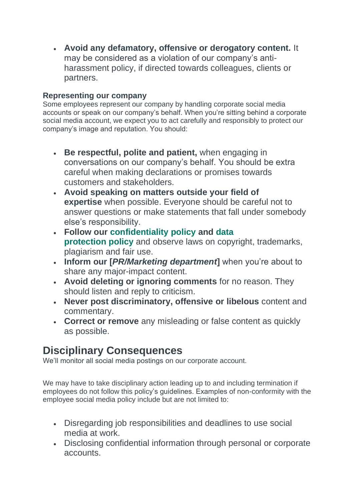• **Avoid any defamatory, offensive or derogatory content.** It may be considered as a violation of our company's antiharassment policy, if directed towards colleagues, clients or partners.

### **Representing our company**

Some employees represent our company by handling corporate social media accounts or speak on our company's behalf. When you're sitting behind a corporate social media account, we expect you to act carefully and responsibly to protect our company's image and reputation. You should:

- **Be respectful, polite and patient,** when engaging in conversations on our company's behalf. You should be extra careful when making declarations or promises towards customers and stakeholders.
- **Avoid speaking on matters outside your field of expertise** when possible. Everyone should be careful not to answer questions or make statements that fall under somebody else's responsibility.
- **Follow our [confidentiality policy](https://resources.workable.com/confidentiality-company-policy) and [data](https://resources.workable.com/data-protection-company-policy)  [protection](https://resources.workable.com/data-protection-company-policy) [policy](https://resources.workable.com/data-protection-company-policy)** and observe laws on copyright, trademarks, plagiarism and fair use.
- **Inform our [***PR/Marketing department***]** when you're about to share any major-impact content.
- **Avoid deleting or ignoring comments** for no reason. They should listen and reply to criticism.
- **Never post discriminatory, offensive or libelous** content and commentary.
- **Correct or remove** any misleading or false content as quickly as possible.

### **Disciplinary Consequences**

We'll monitor all social media postings on our corporate account.

We may have to take disciplinary action leading up to and including termination if employees do not follow this policy's guidelines. Examples of non-conformity with the employee social media policy include but are not limited to:

- Disregarding job responsibilities and deadlines to use social media at work.
- Disclosing confidential information through personal or corporate accounts.